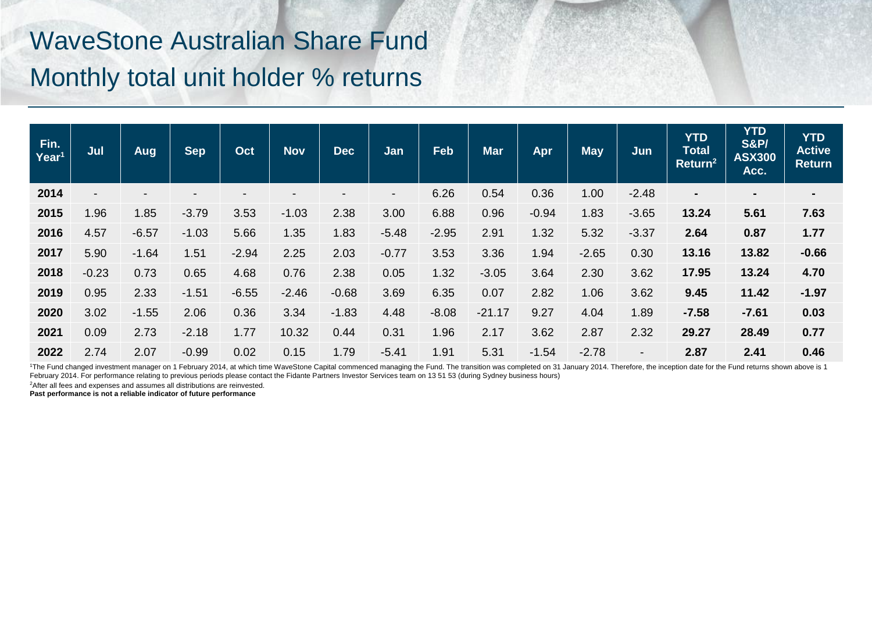## WaveStone Australian Share Fund Monthly total unit holder % returns

| Fin.<br>Year <sup>1</sup> | Jul            | Aug     | <b>Sep</b> | Oct     | <b>Nov</b> | <b>Dec</b> | Jan                      | Feb     | <b>Mar</b> | Apr     | <b>May</b> | Jun                      | <b>YTD</b><br><b>Total</b><br>Return <sup>2</sup> | <b>YTD</b><br><b>S&amp;P/</b><br><b>ASX300</b><br>Acc. | <b>YTD</b><br><b>Active</b><br><b>Return</b> |
|---------------------------|----------------|---------|------------|---------|------------|------------|--------------------------|---------|------------|---------|------------|--------------------------|---------------------------------------------------|--------------------------------------------------------|----------------------------------------------|
| 2014                      | $\blacksquare$ |         |            |         |            |            | $\overline{\phantom{a}}$ | 6.26    | 0.54       | 0.36    | 1.00       | $-2.48$                  | ۰                                                 | ٠                                                      | $\blacksquare$                               |
| 2015                      | .96            | 1.85    | $-3.79$    | 3.53    | $-1.03$    | 2.38       | 3.00                     | 6.88    | 0.96       | $-0.94$ | 1.83       | $-3.65$                  | 13.24                                             | 5.61                                                   | 7.63                                         |
| 2016                      | 4.57           | $-6.57$ | $-1.03$    | 5.66    | 1.35       | 1.83       | $-5.48$                  | $-2.95$ | 2.91       | 1.32    | 5.32       | $-3.37$                  | 2.64                                              | 0.87                                                   | 1.77                                         |
| 2017                      | 5.90           | $-1.64$ | 1.51       | $-2.94$ | 2.25       | 2.03       | $-0.77$                  | 3.53    | 3.36       | 1.94    | $-2.65$    | 0.30                     | 13.16                                             | 13.82                                                  | $-0.66$                                      |
| 2018                      | $-0.23$        | 0.73    | 0.65       | 4.68    | 0.76       | 2.38       | 0.05                     | 1.32    | $-3.05$    | 3.64    | 2.30       | 3.62                     | 17.95                                             | 13.24                                                  | 4.70                                         |
| 2019                      | 0.95           | 2.33    | $-1.51$    | $-6.55$ | $-2.46$    | $-0.68$    | 3.69                     | 6.35    | 0.07       | 2.82    | 1.06       | 3.62                     | 9.45                                              | 11.42                                                  | $-1.97$                                      |
| 2020                      | 3.02           | $-1.55$ | 2.06       | 0.36    | 3.34       | $-1.83$    | 4.48                     | $-8.08$ | $-21.17$   | 9.27    | 4.04       | 1.89                     | $-7.58$                                           | $-7.61$                                                | 0.03                                         |
| 2021                      | 0.09           | 2.73    | $-2.18$    | 1.77    | 10.32      | 0.44       | 0.31                     | 1.96    | 2.17       | 3.62    | 2.87       | 2.32                     | 29.27                                             | 28.49                                                  | 0.77                                         |
| 2022                      | 2.74           | 2.07    | $-0.99$    | 0.02    | 0.15       | 1.79       | $-5.41$                  | 1.91    | 5.31       | $-1.54$ | $-2.78$    | $\overline{\phantom{a}}$ | 2.87                                              | 2.41                                                   | 0.46                                         |

<sup>1</sup>The Fund changed investment manager on 1 February 2014, at which time WaveStone Capital commenced managing the Fund. The transition was completed on 31 January 2014. Therefore, the inception date for the Fund returns sh February 2014. For performance relating to previous periods please contact the Fidante Partners Investor Services team on 13 51 53 (during Sydney business hours)

<sup>2</sup> After all fees and expenses and assumes all distributions are reinvested.

**Past performance is not a reliable indicator of future performance**